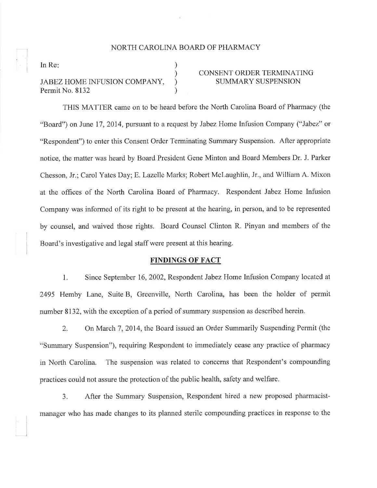## NORTH CAROLINA BOARD OF PHARMACY

) ) ) )

In Re

# JABEZ HOME INFUSION COMPANY, Permit No. 8132

# CONSENT ORDER TERMINATING SUMMARY SUSPENSION

THIS MATTER came on to be heard before the North Carolina Board of Pharmacy (the "Board") on June 17, 2014, pursuant to a request by Jabez Home Infusion Company ("Jabez" or "Respondent") to enter this Consent Order Terminating Summary Suspension. After appropriate notice, the matter was heard by Board President Gene Minton and Board Members Dr. J. Parker Chesson, Jr.; Carol Yates Day; E. Lazelle Marks; Robert Mclaughlin, Jr., and William A. Mixon at the offices of the North Carolina Board of Pharmacy. Respondent Jabez Home Infusion Company was informed of its right to be present at the hearing, in person, and to be represented by counsel, and waived those rights. Board Counsel Clinton R. Pinyan and members of the Board's investigative and legal staff were present at this hearing.

#### FINDINGS OF FACT

1. Since September 16,2002, Respondent Jabez Home Infusion Company located at 2495 Hemby Lane, Suite B, Greenville, North Carolina, has been the holder of permit number 8132, with the exception of a period of summary suspension as described herein.

2. On March 7,2014, the Board issued an Order Summarily Suspending Permit (the "Summary Suspension"), requiring Respondent to immediately cease any practice of pharmacy in North Carolina. The suspension was related to concerns that Respondent's compounding practices could not assure the protection of the public health, safety and welfare.

3. After the Summary Suspension, Respondent hired a new proposed pharmacistmanager who has made changes to its planned sterile compounding practices in response to the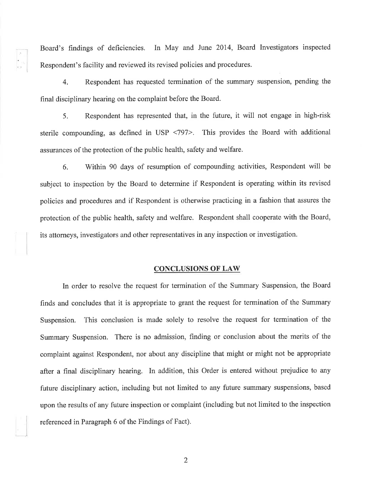Board's findings of deficiencies. In May and June 2014, Board Investigators inspected Respondent's facility and reviewed its revised policies and procedures.

4. Respondent has requested termination of the summary suspension, pending the final disciplinary hearing on the complaint before the Board.

5. Respondent has represented that, in the future, it will not engage in high-risk sterile compounding, as defined in USP <797>. This provides the Board with additional assurances of the protection of the public health, safety and welfare.

6. Within 90 days of resumption of compounding activities, Respondent will be subject to inspection by the Board to determine if Respondent is operating within its revised policies and procedures and if Respondent is otherwise practicing in a fashion that assures the protection of the public health, safety and welfare. Respondent shall cooperate with the Board, its attorneys, investigators and other representatives in any inspection or investigation.

### CONCLUSIONS OF LAW

In order to resolve the request for termination of the Summary Suspension, the Board finds and concludes that it is appropriate to grant the request for termination of the Summary Suspension. This conclusion is made solely to resolve the request for termination of the Summary Suspension. There is no admission, finding or conclusion about the merits of the complaint against Respondent, nor about any discipline that might or might not be appropriate after a final disciplinary hearing. In addition, this Order is entered without prejudice to any future disciplinary action, including but not limited to any future summary suspensions, based upon the results of any future inspection or complaint (including but not limited to the inspection referenced in Paragraph 6 of the Findings of Fact).

2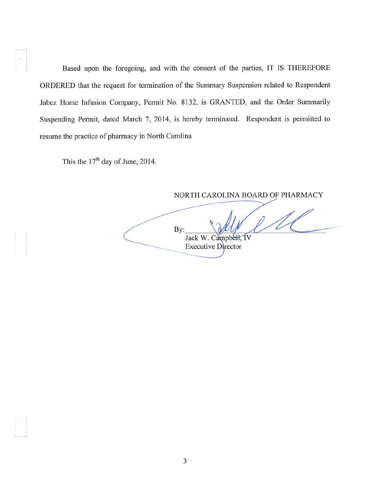Based upon the foregoing, and with the consent of the parties, IT IS THEREFORE ORDERED that the request for termination of the Summary Suspension related to Respondent Jabez Home Infusion Company, Permit No. 8132, is GRANTED, and the Order Summarily Suspending Permit, dated March 7, 2014, is hereby terminated. Respondent is permitted to resume the practice of pharmacy in North Carolina

This the  $17<sup>th</sup>$  day of June, 2014.

NORTH CAROLINA BOARD OF PHARMACY By: Jack W. Campbell, IV Executive Director